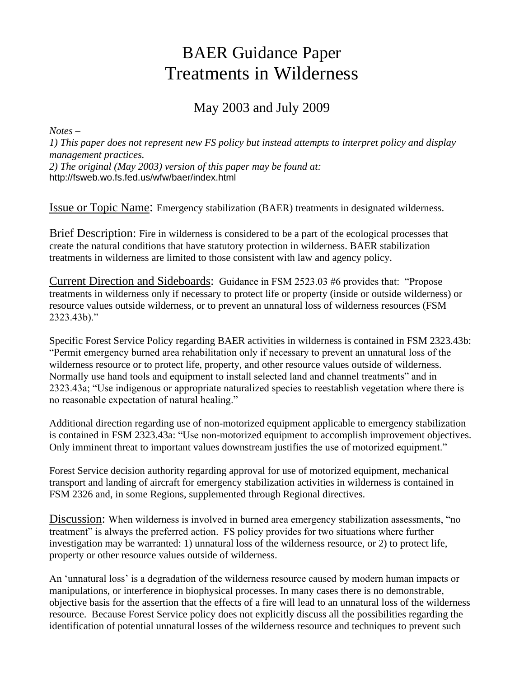# BAER Guidance Paper Treatments in Wilderness

# May 2003 and July 2009

*Notes –* 

*1) This paper does not represent new FS policy but instead attempts to interpret policy and display management practices.* 

*2) The original (May 2003) version of this paper may be found at:*  http://fsweb.wo.fs.fed.us/wfw/baer/index.html

Issue or Topic Name: Emergency stabilization (BAER) treatments in designated wilderness.

Brief Description: Fire in wilderness is considered to be a part of the ecological processes that create the natural conditions that have statutory protection in wilderness. BAER stabilization treatments in wilderness are limited to those consistent with law and agency policy.

Current Direction and Sideboards: Guidance in FSM 2523.03 #6 provides that: "Propose treatments in wilderness only if necessary to protect life or property (inside or outside wilderness) or resource values outside wilderness, or to prevent an unnatural loss of wilderness resources (FSM 2323.43b)."

Specific Forest Service Policy regarding BAER activities in wilderness is contained in FSM 2323.43b: "Permit emergency burned area rehabilitation only if necessary to prevent an unnatural loss of the wilderness resource or to protect life, property, and other resource values outside of wilderness. Normally use hand tools and equipment to install selected land and channel treatments" and in 2323.43a; "Use indigenous or appropriate naturalized species to reestablish vegetation where there is no reasonable expectation of natural healing."

Additional direction regarding use of non-motorized equipment applicable to emergency stabilization is contained in FSM 2323.43a: "Use non-motorized equipment to accomplish improvement objectives. Only imminent threat to important values downstream justifies the use of motorized equipment."

Forest Service decision authority regarding approval for use of motorized equipment, mechanical transport and landing of aircraft for emergency stabilization activities in wilderness is contained in FSM 2326 and, in some Regions, supplemented through Regional directives.

Discussion: When wilderness is involved in burned area emergency stabilization assessments, "no treatment" is always the preferred action. FS policy provides for two situations where further investigation may be warranted: 1) unnatural loss of the wilderness resource, or 2) to protect life, property or other resource values outside of wilderness.

An 'unnatural loss' is a degradation of the wilderness resource caused by modern human impacts or manipulations, or interference in biophysical processes. In many cases there is no demonstrable, objective basis for the assertion that the effects of a fire will lead to an unnatural loss of the wilderness resource. Because Forest Service policy does not explicitly discuss all the possibilities regarding the identification of potential unnatural losses of the wilderness resource and techniques to prevent such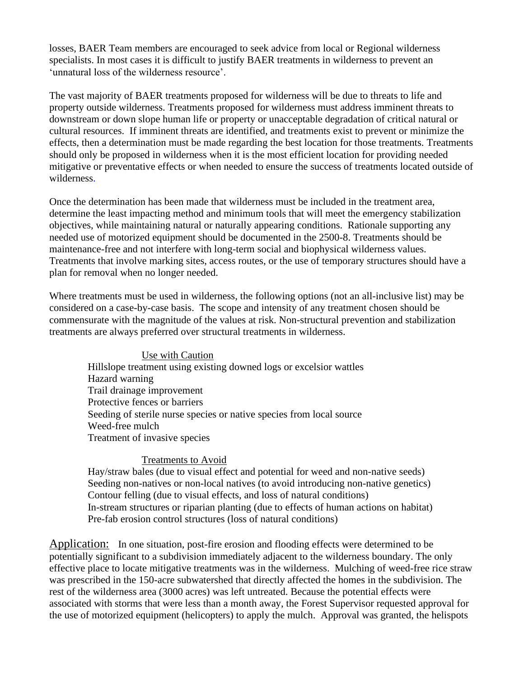losses, BAER Team members are encouraged to seek advice from local or Regional wilderness specialists. In most cases it is difficult to justify BAER treatments in wilderness to prevent an 'unnatural loss of the wilderness resource'.

The vast majority of BAER treatments proposed for wilderness will be due to threats to life and property outside wilderness. Treatments proposed for wilderness must address imminent threats to downstream or down slope human life or property or unacceptable degradation of critical natural or cultural resources. If imminent threats are identified, and treatments exist to prevent or minimize the effects, then a determination must be made regarding the best location for those treatments. Treatments should only be proposed in wilderness when it is the most efficient location for providing needed mitigative or preventative effects or when needed to ensure the success of treatments located outside of wilderness.

Once the determination has been made that wilderness must be included in the treatment area, determine the least impacting method and minimum tools that will meet the emergency stabilization objectives, while maintaining natural or naturally appearing conditions. Rationale supporting any needed use of motorized equipment should be documented in the 2500-8. Treatments should be maintenance-free and not interfere with long-term social and biophysical wilderness values. Treatments that involve marking sites, access routes, or the use of temporary structures should have a plan for removal when no longer needed.

Where treatments must be used in wilderness, the following options (not an all-inclusive list) may be considered on a case-by-case basis. The scope and intensity of any treatment chosen should be commensurate with the magnitude of the values at risk. Non-structural prevention and stabilization treatments are always preferred over structural treatments in wilderness.

#### Use with Caution

Hillslope treatment using existing downed logs or excelsior wattles Hazard warning Trail drainage improvement Protective fences or barriers Seeding of sterile nurse species or native species from local source Weed-free mulch Treatment of invasive species

#### Treatments to Avoid

Hay/straw bales (due to visual effect and potential for weed and non-native seeds) Seeding non-natives or non-local natives (to avoid introducing non-native genetics) Contour felling (due to visual effects, and loss of natural conditions) In-stream structures or riparian planting (due to effects of human actions on habitat) Pre-fab erosion control structures (loss of natural conditions)

Application: In one situation, post-fire erosion and flooding effects were determined to be potentially significant to a subdivision immediately adjacent to the wilderness boundary. The only effective place to locate mitigative treatments was in the wilderness. Mulching of weed-free rice straw was prescribed in the 150-acre subwatershed that directly affected the homes in the subdivision. The rest of the wilderness area (3000 acres) was left untreated. Because the potential effects were associated with storms that were less than a month away, the Forest Supervisor requested approval for the use of motorized equipment (helicopters) to apply the mulch. Approval was granted, the helispots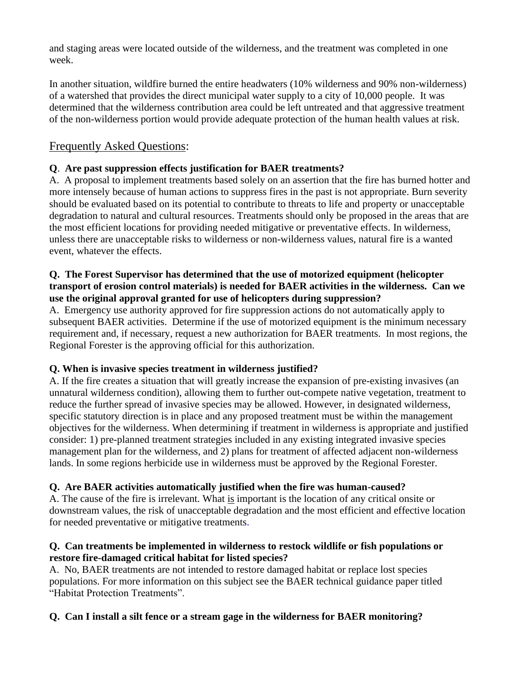and staging areas were located outside of the wilderness, and the treatment was completed in one week.

In another situation, wildfire burned the entire headwaters (10% wilderness and 90% non-wilderness) of a watershed that provides the direct municipal water supply to a city of 10,000 people. It was determined that the wilderness contribution area could be left untreated and that aggressive treatment of the non-wilderness portion would provide adequate protection of the human health values at risk.

# Frequently Asked Questions:

# **Q**. **Are past suppression effects justification for BAER treatments?**

A. A proposal to implement treatments based solely on an assertion that the fire has burned hotter and more intensely because of human actions to suppress fires in the past is not appropriate. Burn severity should be evaluated based on its potential to contribute to threats to life and property or unacceptable degradation to natural and cultural resources. Treatments should only be proposed in the areas that are the most efficient locations for providing needed mitigative or preventative effects. In wilderness, unless there are unacceptable risks to wilderness or non-wilderness values, natural fire is a wanted event, whatever the effects.

#### **Q. The Forest Supervisor has determined that the use of motorized equipment (helicopter transport of erosion control materials) is needed for BAER activities in the wilderness. Can we use the original approval granted for use of helicopters during suppression?**

A. Emergency use authority approved for fire suppression actions do not automatically apply to subsequent BAER activities. Determine if the use of motorized equipment is the minimum necessary requirement and, if necessary, request a new authorization for BAER treatments. In most regions, the Regional Forester is the approving official for this authorization.

# **Q. When is invasive species treatment in wilderness justified?**

A. If the fire creates a situation that will greatly increase the expansion of pre-existing invasives (an unnatural wilderness condition), allowing them to further out-compete native vegetation, treatment to reduce the further spread of invasive species may be allowed. However, in designated wilderness, specific statutory direction is in place and any proposed treatment must be within the management objectives for the wilderness. When determining if treatment in wilderness is appropriate and justified consider: 1) pre-planned treatment strategies included in any existing integrated invasive species management plan for the wilderness, and 2) plans for treatment of affected adjacent non-wilderness lands. In some regions herbicide use in wilderness must be approved by the Regional Forester.

# **Q. Are BAER activities automatically justified when the fire was human-caused?**

A. The cause of the fire is irrelevant. What is important is the location of any critical onsite or downstream values, the risk of unacceptable degradation and the most efficient and effective location for needed preventative or mitigative treatments.

#### **Q. Can treatments be implemented in wilderness to restock wildlife or fish populations or restore fire-damaged critical habitat for listed species?**

A. No, BAER treatments are not intended to restore damaged habitat or replace lost species populations. For more information on this subject see the BAER technical guidance paper titled "Habitat Protection Treatments".

# **Q. Can I install a silt fence or a stream gage in the wilderness for BAER monitoring?**